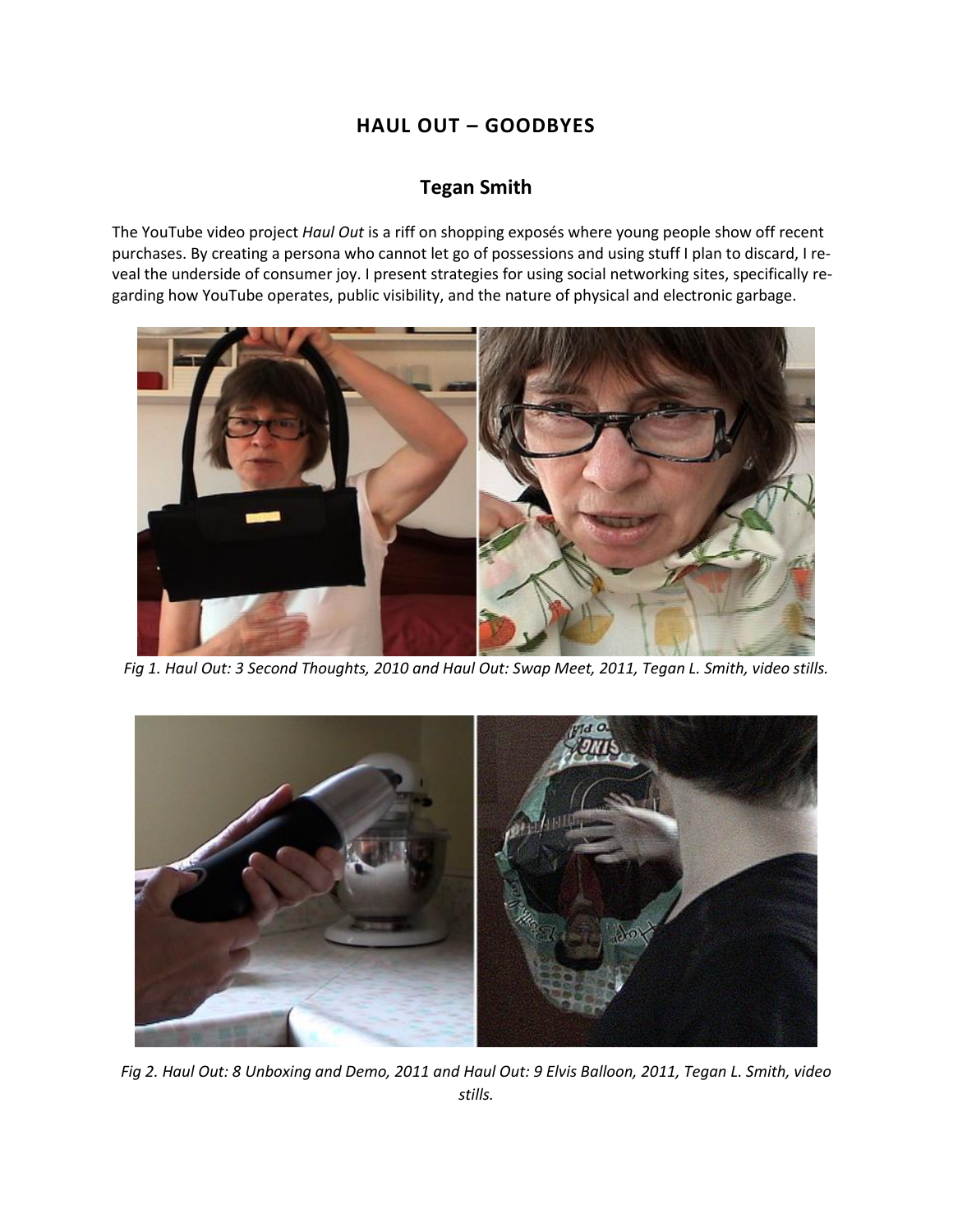# **HAUL OUT – GOODBYES**

## **Tegan Smith**

The YouTube video project *Haul Out* is a riff on shopping exposés where young people show off recent purchases. By creating a persona who cannot let go of possessions and using stuff I plan to discard, I reveal the underside of consumer joy. I present strategies for using social networking sites, specifically regarding how YouTube operates, public visibility, and the nature of physical and electronic garbage.



*Fig 1. Haul Out: 3 Second Thoughts, 2010 and Haul Out: Swap Meet, 2011, Tegan L. Smith, video stills.*



*Fig 2. Haul Out: 8 Unboxing and Demo, 2011 and Haul Out: 9 Elvis Balloon, 2011, Tegan L. Smith, video stills.*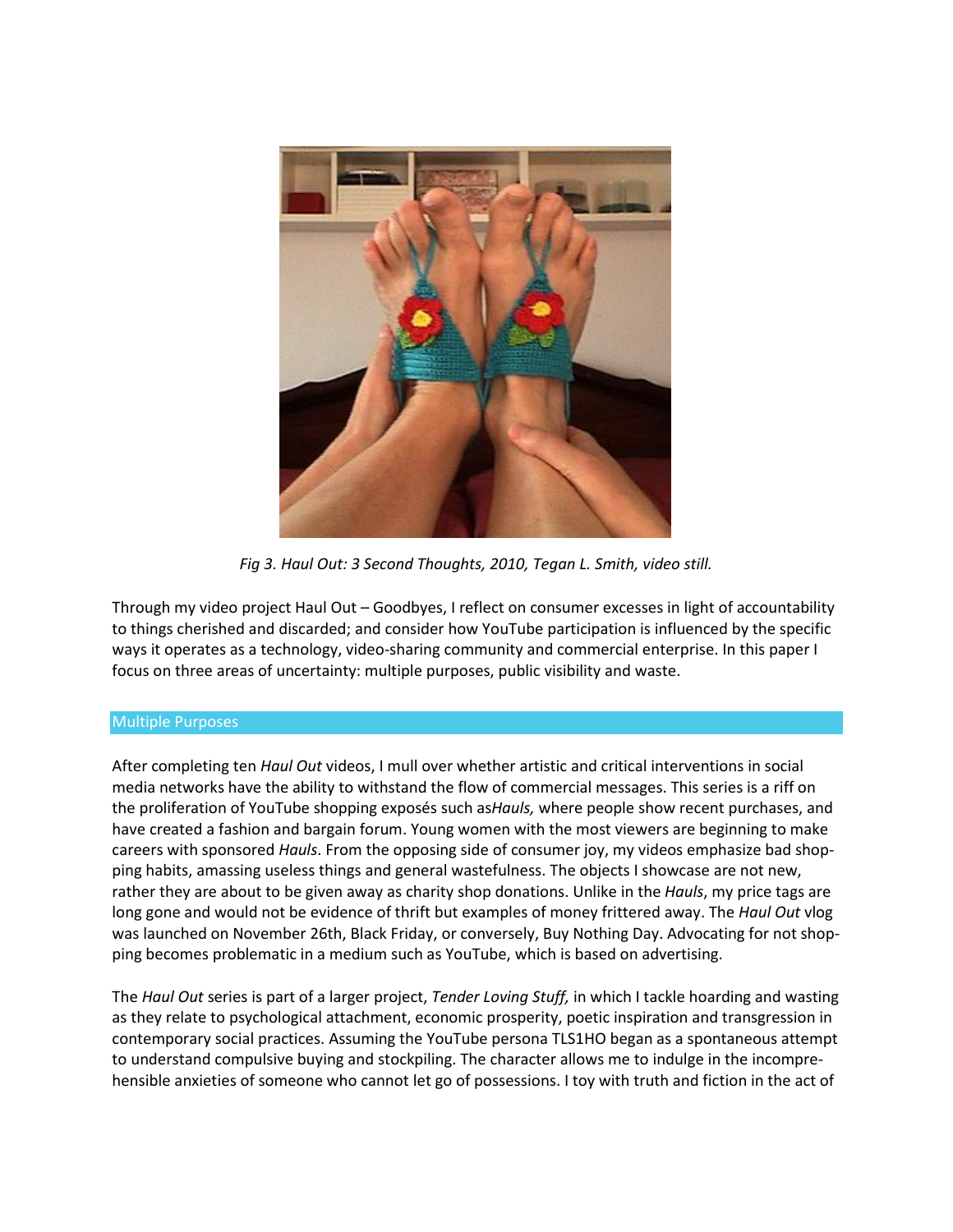

*Fig 3. Haul Out: 3 Second Thoughts, 2010, Tegan L. Smith, video still.*

Through my video project Haul Out – Goodbyes, I reflect on consumer excesses in light of accountability to things cherished and discarded; and consider how YouTube participation is influenced by the specific ways it operates as a technology, video-sharing community and commercial enterprise. In this paper I focus on three areas of uncertainty: multiple purposes, public visibility and waste.

## Multiple Purposes

After completing ten *Haul Out* videos, I mull over whether artistic and critical interventions in social media networks have the ability to withstand the flow of commercial messages. This series is a riff on the proliferation of YouTube shopping exposés such as*Hauls,* where people show recent purchases, and have created a fashion and bargain forum. Young women with the most viewers are beginning to make careers with sponsored *Hauls*. From the opposing side of consumer joy, my videos emphasize bad shopping habits, amassing useless things and general wastefulness. The objects I showcase are not new, rather they are about to be given away as charity shop donations. Unlike in the *Hauls*, my price tags are long gone and would not be evidence of thrift but examples of money frittered away. The *Haul Out* vlog was launched on November 26th, Black Friday, or conversely, Buy Nothing Day. Advocating for not shopping becomes problematic in a medium such as YouTube, which is based on advertising.

The *Haul Out* series is part of a larger project, *Tender Loving Stuff,* in which I tackle hoarding and wasting as they relate to psychological attachment, economic prosperity, poetic inspiration and transgression in contemporary social practices. Assuming the YouTube persona TLS1HO began as a spontaneous attempt to understand compulsive buying and stockpiling. The character allows me to indulge in the incomprehensible anxieties of someone who cannot let go of possessions. I toy with truth and fiction in the act of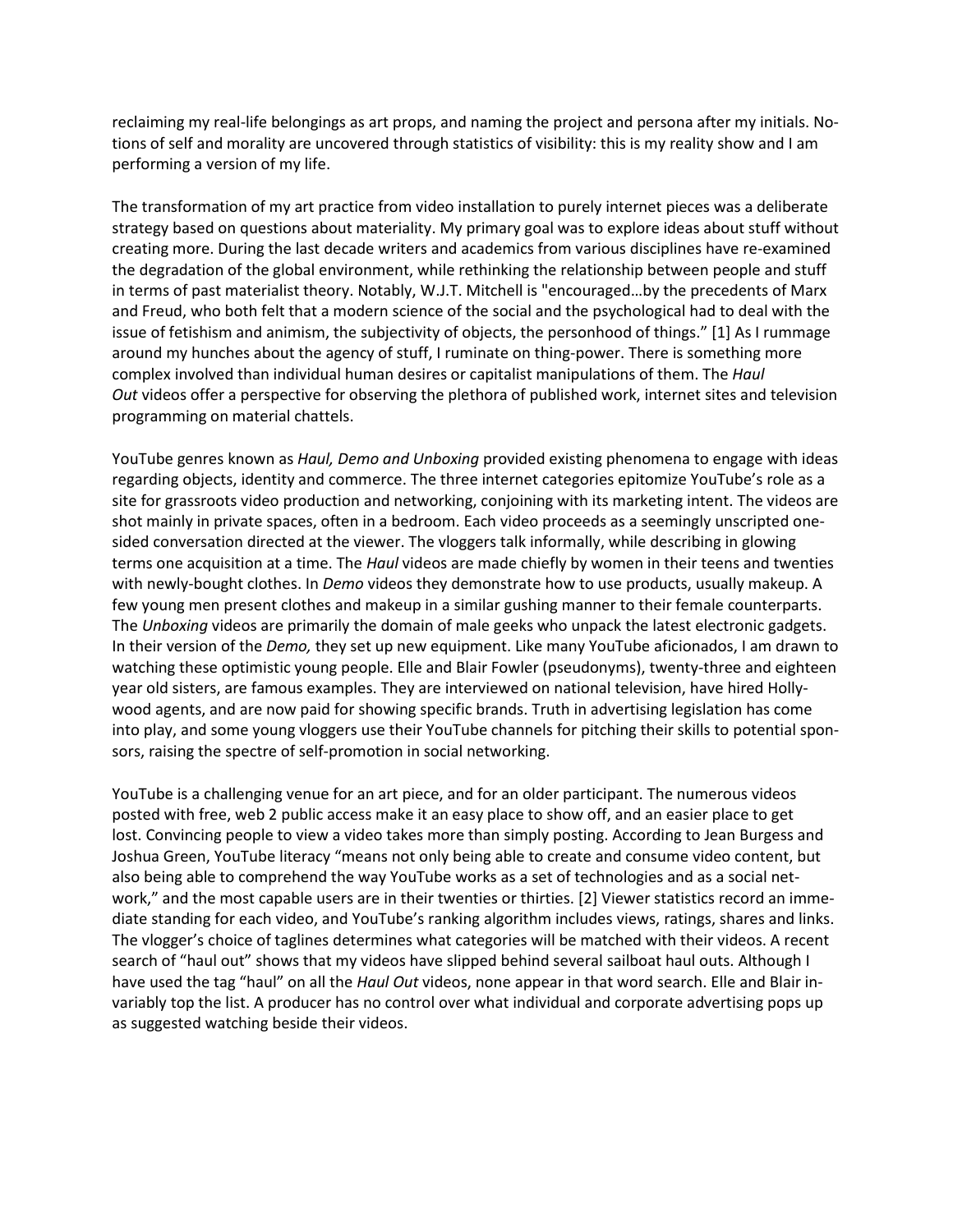reclaiming my real-life belongings as art props, and naming the project and persona after my initials. Notions of self and morality are uncovered through statistics of visibility: this is my reality show and I am performing a version of my life.

The transformation of my art practice from video installation to purely internet pieces was a deliberate strategy based on questions about materiality. My primary goal was to explore ideas about stuff without creating more. During the last decade writers and academics from various disciplines have re-examined the degradation of the global environment, while rethinking the relationship between people and stuff in terms of past materialist theory. Notably, W.J.T. Mitchell is "encouraged…by the precedents of Marx and Freud, who both felt that a modern science of the social and the psychological had to deal with the issue of fetishism and animism, the subjectivity of objects, the personhood of things." [1] As I rummage around my hunches about the agency of stuff, I ruminate on thing-power. There is something more complex involved than individual human desires or capitalist manipulations of them. The *Haul Out* videos offer a perspective for observing the plethora of published work, internet sites and television programming on material chattels.

YouTube genres known as *Haul, Demo and Unboxing* provided existing phenomena to engage with ideas regarding objects, identity and commerce. The three internet categories epitomize YouTube's role as a site for grassroots video production and networking, conjoining with its marketing intent. The videos are shot mainly in private spaces, often in a bedroom. Each video proceeds as a seemingly unscripted onesided conversation directed at the viewer. The vloggers talk informally, while describing in glowing terms one acquisition at a time. The *Haul* videos are made chiefly by women in their teens and twenties with newly-bought clothes. In *Demo* videos they demonstrate how to use products, usually makeup. A few young men present clothes and makeup in a similar gushing manner to their female counterparts. The *Unboxing* videos are primarily the domain of male geeks who unpack the latest electronic gadgets. In their version of the *Demo,* they set up new equipment. Like many YouTube aficionados, I am drawn to watching these optimistic young people. Elle and Blair Fowler (pseudonyms), twenty-three and eighteen year old sisters, are famous examples. They are interviewed on national television, have hired Hollywood agents, and are now paid for showing specific brands. Truth in advertising legislation has come into play, and some young vloggers use their YouTube channels for pitching their skills to potential sponsors, raising the spectre of self-promotion in social networking.

YouTube is a challenging venue for an art piece, and for an older participant. The numerous videos posted with free, web 2 public access make it an easy place to show off, and an easier place to get lost. Convincing people to view a video takes more than simply posting. According to Jean Burgess and Joshua Green, YouTube literacy "means not only being able to create and consume video content, but also being able to comprehend the way YouTube works as a set of technologies and as a social network," and the most capable users are in their twenties or thirties. [2] Viewer statistics record an immediate standing for each video, and YouTube's ranking algorithm includes views, ratings, shares and links. The vlogger's choice of taglines determines what categories will be matched with their videos. A recent search of "haul out" shows that my videos have slipped behind several sailboat haul outs. Although I have used the tag "haul" on all the *Haul Out* videos, none appear in that word search. Elle and Blair invariably top the list. A producer has no control over what individual and corporate advertising pops up as suggested watching beside their videos.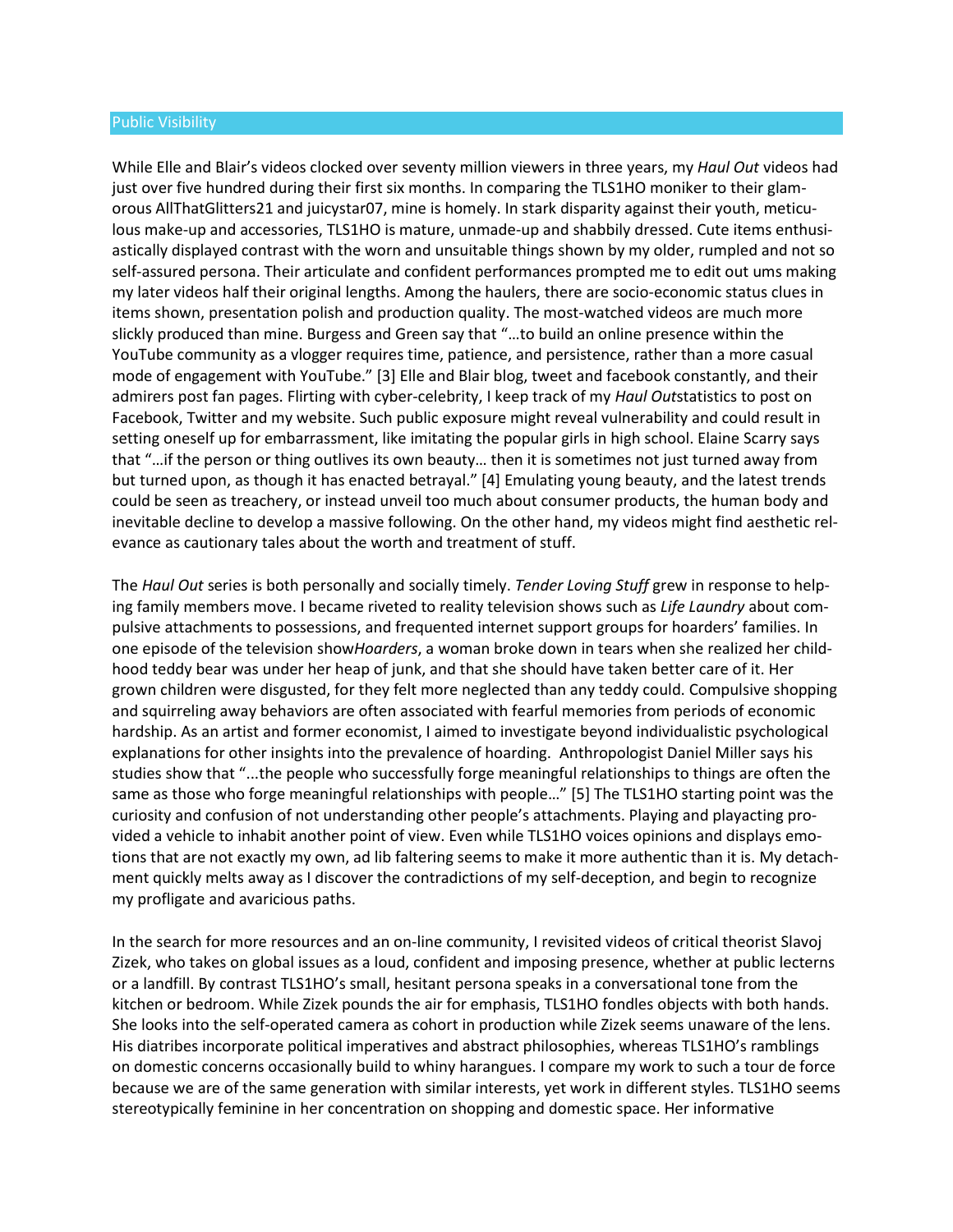#### Public Visibility

While Elle and Blair's videos clocked over seventy million viewers in three years, my *Haul Out* videos had just over five hundred during their first six months. In comparing the TLS1HO moniker to their glamorous AllThatGlitters21 and juicystar07, mine is homely. In stark disparity against their youth, meticulous make-up and accessories, TLS1HO is mature, unmade-up and shabbily dressed. Cute items enthusiastically displayed contrast with the worn and unsuitable things shown by my older, rumpled and not so self-assured persona. Their articulate and confident performances prompted me to edit out ums making my later videos half their original lengths. Among the haulers, there are socio-economic status clues in items shown, presentation polish and production quality. The most-watched videos are much more slickly produced than mine. Burgess and Green say that "…to build an online presence within the YouTube community as a vlogger requires time, patience, and persistence, rather than a more casual mode of engagement with YouTube." [3] Elle and Blair blog, tweet and facebook constantly, and their admirers post fan pages. Flirting with cyber-celebrity, I keep track of my *Haul Out*statistics to post on Facebook, Twitter and my website. Such public exposure might reveal vulnerability and could result in setting oneself up for embarrassment, like imitating the popular girls in high school. Elaine Scarry says that "…if the person or thing outlives its own beauty… then it is sometimes not just turned away from but turned upon, as though it has enacted betrayal." [4] Emulating young beauty, and the latest trends could be seen as treachery, or instead unveil too much about consumer products, the human body and inevitable decline to develop a massive following. On the other hand, my videos might find aesthetic relevance as cautionary tales about the worth and treatment of stuff.

The *Haul Out* series is both personally and socially timely. *Tender Loving Stuff* grew in response to helping family members move. I became riveted to reality television shows such as *Life Laundry* about compulsive attachments to possessions, and frequented internet support groups for hoarders' families. In one episode of the television show*Hoarders*, a woman broke down in tears when she realized her childhood teddy bear was under her heap of junk, and that she should have taken better care of it. Her grown children were disgusted, for they felt more neglected than any teddy could. Compulsive shopping and squirreling away behaviors are often associated with fearful memories from periods of economic hardship. As an artist and former economist, I aimed to investigate beyond individualistic psychological explanations for other insights into the prevalence of hoarding. Anthropologist Daniel Miller says his studies show that "...the people who successfully forge meaningful relationships to things are often the same as those who forge meaningful relationships with people…" [5] The TLS1HO starting point was the curiosity and confusion of not understanding other people's attachments. Playing and playacting provided a vehicle to inhabit another point of view. Even while TLS1HO voices opinions and displays emotions that are not exactly my own, ad lib faltering seems to make it more authentic than it is. My detachment quickly melts away as I discover the contradictions of my self-deception, and begin to recognize my profligate and avaricious paths.

In the search for more resources and an on-line community, I revisited videos of critical theorist Slavoj Zizek, who takes on global issues as a loud, confident and imposing presence, whether at public lecterns or a landfill. By contrast TLS1HO's small, hesitant persona speaks in a conversational tone from the kitchen or bedroom. While Zizek pounds the air for emphasis, TLS1HO fondles objects with both hands. She looks into the self-operated camera as cohort in production while Zizek seems unaware of the lens. His diatribes incorporate political imperatives and abstract philosophies, whereas TLS1HO's ramblings on domestic concerns occasionally build to whiny harangues. I compare my work to such a tour de force because we are of the same generation with similar interests, yet work in different styles. TLS1HO seems stereotypically feminine in her concentration on shopping and domestic space. Her informative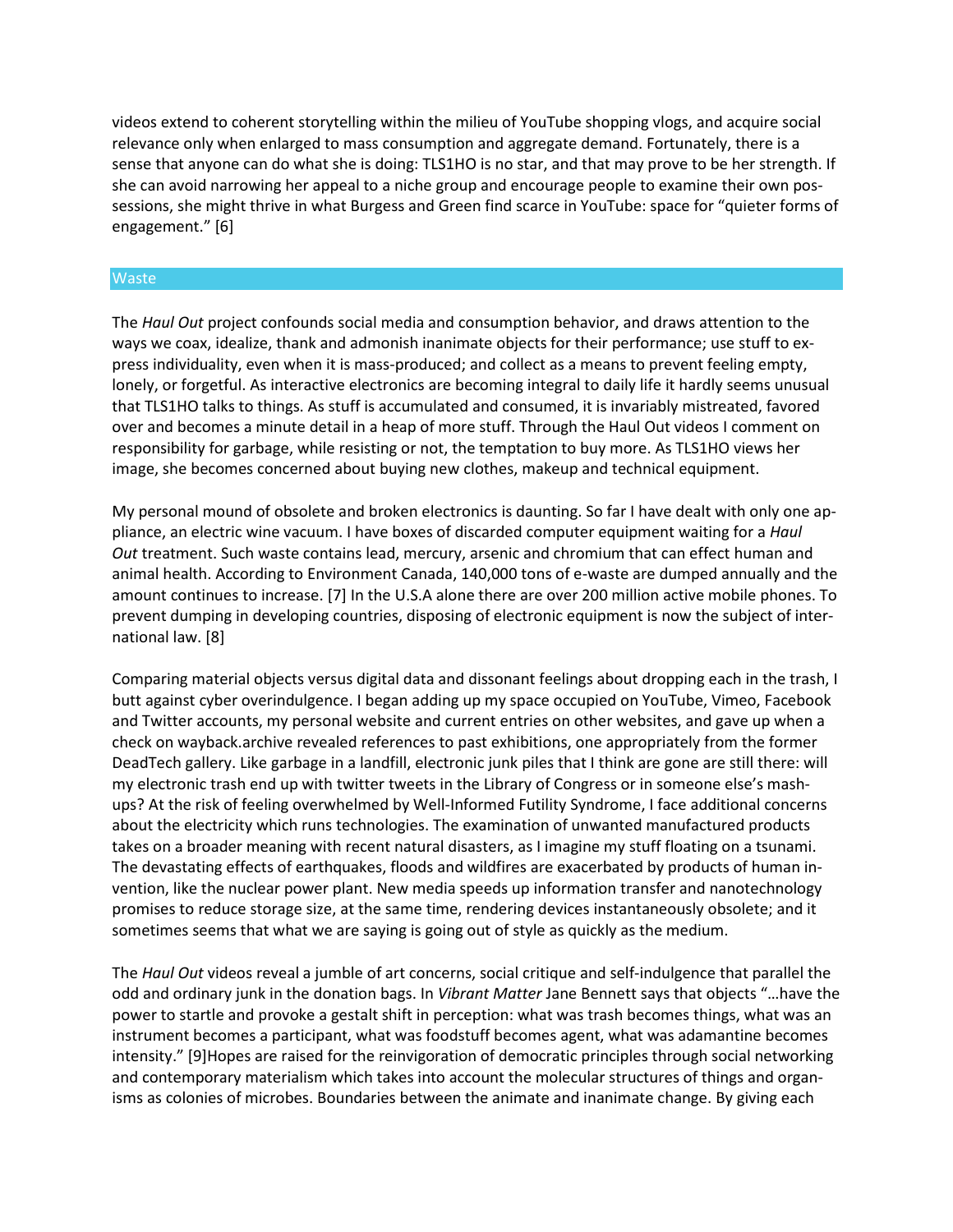videos extend to coherent storytelling within the milieu of YouTube shopping vlogs, and acquire social relevance only when enlarged to mass consumption and aggregate demand. Fortunately, there is a sense that anyone can do what she is doing: TLS1HO is no star, and that may prove to be her strength. If she can avoid narrowing her appeal to a niche group and encourage people to examine their own possessions, she might thrive in what Burgess and Green find scarce in YouTube: space for "quieter forms of engagement." [6]

### Waste

The *Haul Out* project confounds social media and consumption behavior, and draws attention to the ways we coax, idealize, thank and admonish inanimate objects for their performance; use stuff to express individuality, even when it is mass-produced; and collect as a means to prevent feeling empty, lonely, or forgetful. As interactive electronics are becoming integral to daily life it hardly seems unusual that TLS1HO talks to things. As stuff is accumulated and consumed, it is invariably mistreated, favored over and becomes a minute detail in a heap of more stuff. Through the Haul Out videos I comment on responsibility for garbage, while resisting or not, the temptation to buy more. As TLS1HO views her image, she becomes concerned about buying new clothes, makeup and technical equipment.

My personal mound of obsolete and broken electronics is daunting. So far I have dealt with only one appliance, an electric wine vacuum. I have boxes of discarded computer equipment waiting for a *Haul Out* treatment. Such waste contains lead, mercury, arsenic and chromium that can effect human and animal health. According to Environment Canada, 140,000 tons of e-waste are dumped annually and the amount continues to increase. [7] In the U.S.A alone there are over 200 million active mobile phones. To prevent dumping in developing countries, disposing of electronic equipment is now the subject of international law. [8]

Comparing material objects versus digital data and dissonant feelings about dropping each in the trash, I butt against cyber overindulgence. I began adding up my space occupied on YouTube, Vimeo, Facebook and Twitter accounts, my personal website and current entries on other websites, and gave up when a check on wayback.archive revealed references to past exhibitions, one appropriately from the former DeadTech gallery. Like garbage in a landfill, electronic junk piles that I think are gone are still there: will my electronic trash end up with twitter tweets in the Library of Congress or in someone else's mashups? At the risk of feeling overwhelmed by Well-Informed Futility Syndrome, I face additional concerns about the electricity which runs technologies. The examination of unwanted manufactured products takes on a broader meaning with recent natural disasters, as I imagine my stuff floating on a tsunami. The devastating effects of earthquakes, floods and wildfires are exacerbated by products of human invention, like the nuclear power plant. New media speeds up information transfer and nanotechnology promises to reduce storage size, at the same time, rendering devices instantaneously obsolete; and it sometimes seems that what we are saying is going out of style as quickly as the medium.

The *Haul Out* videos reveal a jumble of art concerns, social critique and self-indulgence that parallel the odd and ordinary junk in the donation bags. In *Vibrant Matter* Jane Bennett says that objects "…have the power to startle and provoke a gestalt shift in perception: what was trash becomes things, what was an instrument becomes a participant, what was foodstuff becomes agent, what was adamantine becomes intensity." [9]Hopes are raised for the reinvigoration of democratic principles through social networking and contemporary materialism which takes into account the molecular structures of things and organisms as colonies of microbes. Boundaries between the animate and inanimate change. By giving each